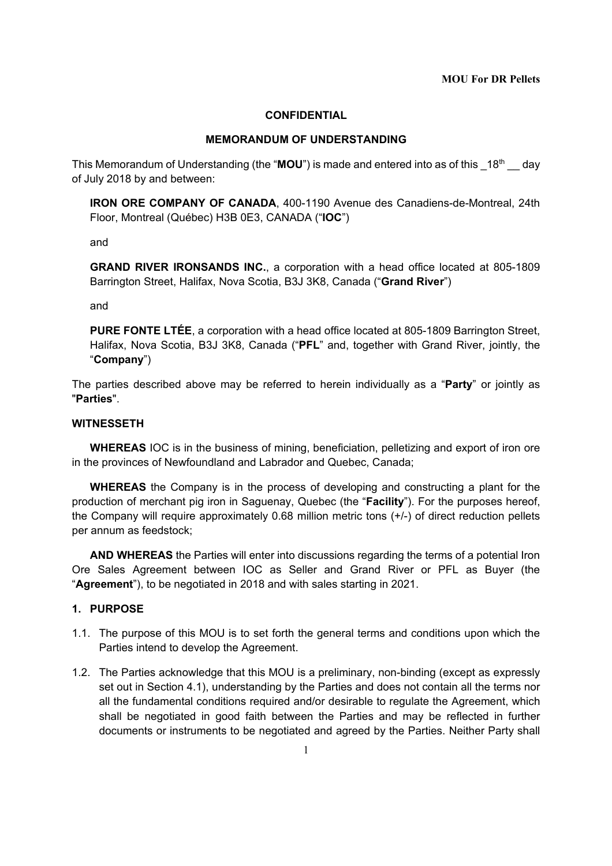#### **CONFIDENTIAL**

#### **MEMORANDUM OF UNDERSTANDING**

This Memorandum of Understanding (the "**MOU**") is made and entered into as of this 18<sup>th</sup> day of July 2018 by and between:

**IRON ORE COMPANY OF CANADA**, 400-1190 Avenue des Canadiens-de-Montreal, 24th Floor, Montreal (Québec) H3B 0E3, CANADA ("**IOC**")

and

**GRAND RIVER IRONSANDS INC.**, a corporation with a head office located at 805-1809 Barrington Street, Halifax, Nova Scotia, B3J 3K8, Canada ("**Grand River**")

and

**PURE FONTE LTÉE**, a corporation with a head office located at 805-1809 Barrington Street, Halifax, Nova Scotia, B3J 3K8, Canada ("**PFL**" and, together with Grand River, jointly, the "**Company**")

The parties described above may be referred to herein individually as a "**Party**" or jointly as "**Parties**".

### **WITNESSETH**

**WHEREAS** IOC is in the business of mining, beneficiation, pelletizing and export of iron ore in the provinces of Newfoundland and Labrador and Quebec, Canada;

**WHEREAS** the Company is in the process of developing and constructing a plant for the production of merchant pig iron in Saguenay, Quebec (the "**Facility**"). For the purposes hereof, the Company will require approximately 0.68 million metric tons (+/-) of direct reduction pellets per annum as feedstock;

**AND WHEREAS** the Parties will enter into discussions regarding the terms of a potential Iron Ore Sales Agreement between IOC as Seller and Grand River or PFL as Buyer (the "**Agreement**"), to be negotiated in 2018 and with sales starting in 2021.

#### **1. PURPOSE**

- 1.1. The purpose of this MOU is to set forth the general terms and conditions upon which the Parties intend to develop the Agreement.
- 1.2. The Parties acknowledge that this MOU is a preliminary, non-binding (except as expressly set out in Section 4.1), understanding by the Parties and does not contain all the terms nor all the fundamental conditions required and/or desirable to regulate the Agreement, which shall be negotiated in good faith between the Parties and may be reflected in further documents or instruments to be negotiated and agreed by the Parties. Neither Party shall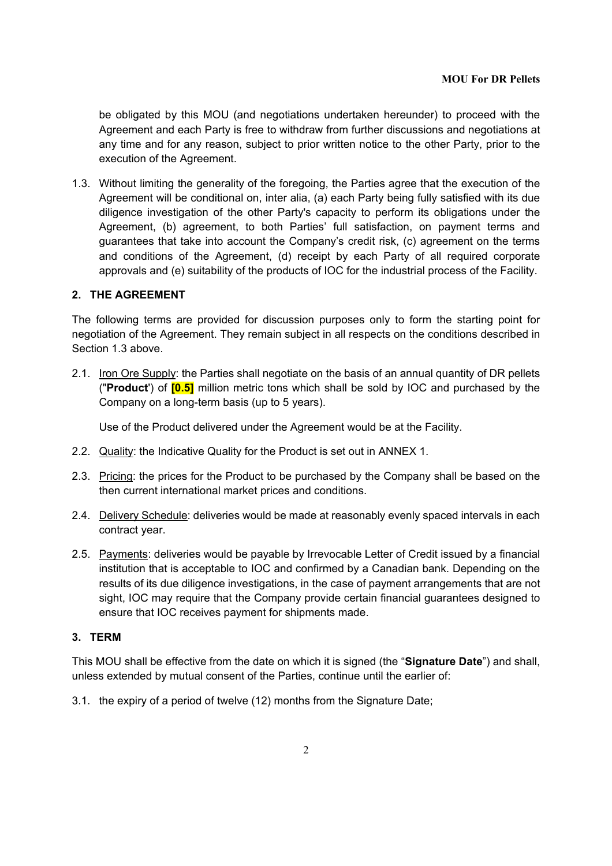### **MOU For DR Pellets**

be obligated by this MOU (and negotiations undertaken hereunder) to proceed with the Agreement and each Party is free to withdraw from further discussions and negotiations at any time and for any reason, subject to prior written notice to the other Party, prior to the execution of the Agreement.

1.3. Without limiting the generality of the foregoing, the Parties agree that the execution of the Agreement will be conditional on, inter alia, (a) each Party being fully satisfied with its due diligence investigation of the other Party's capacity to perform its obligations under the Agreement, (b) agreement, to both Parties' full satisfaction, on payment terms and guarantees that take into account the Company's credit risk, (c) agreement on the terms and conditions of the Agreement, (d) receipt by each Party of all required corporate approvals and (e) suitability of the products of IOC for the industrial process of the Facility.

### **2. THE AGREEMENT**

The following terms are provided for discussion purposes only to form the starting point for negotiation of the Agreement. They remain subject in all respects on the conditions described in Section 1.3 above.

2.1. Iron Ore Supply: the Parties shall negotiate on the basis of an annual quantity of DR pellets ("**Product**') of **[0.5]** million metric tons which shall be sold by IOC and purchased by the Company on a long-term basis (up to 5 years).

Use of the Product delivered under the Agreement would be at the Facility.

- 2.2. Quality: the Indicative Quality for the Product is set out in ANNEX 1.
- 2.3. Pricing: the prices for the Product to be purchased by the Company shall be based on the then current international market prices and conditions.
- 2.4. Delivery Schedule: deliveries would be made at reasonably evenly spaced intervals in each contract year.
- 2.5. Payments: deliveries would be payable by Irrevocable Letter of Credit issued by a financial institution that is acceptable to IOC and confirmed by a Canadian bank. Depending on the results of its due diligence investigations, in the case of payment arrangements that are not sight, IOC may require that the Company provide certain financial guarantees designed to ensure that IOC receives payment for shipments made.

### **3. TERM**

This MOU shall be effective from the date on which it is signed (the "**Signature Date**") and shall, unless extended by mutual consent of the Parties, continue until the earlier of:

3.1. the expiry of a period of twelve (12) months from the Signature Date;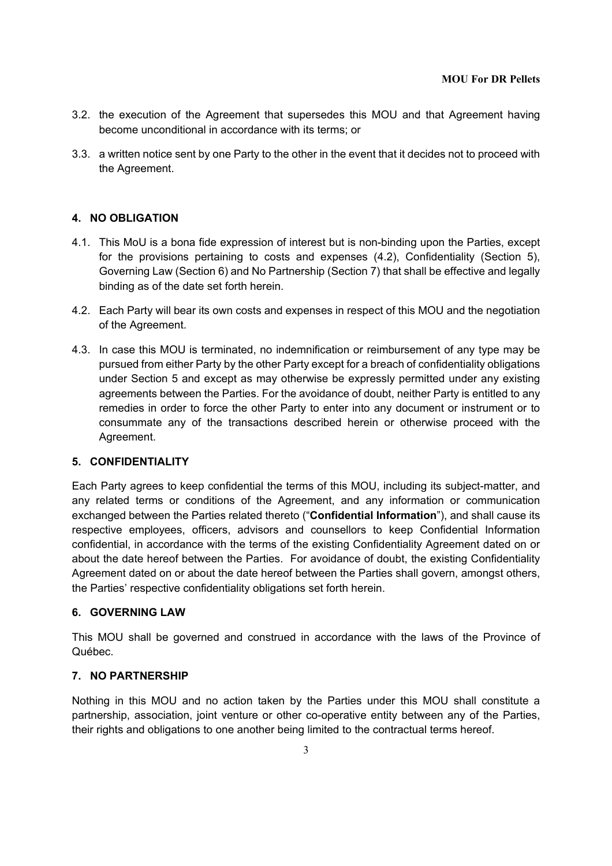- 3.2. the execution of the Agreement that supersedes this MOU and that Agreement having become unconditional in accordance with its terms; or
- 3.3. a written notice sent by one Party to the other in the event that it decides not to proceed with the Agreement.

### **4. NO OBLIGATION**

- 4.1. This MoU is a bona fide expression of interest but is non-binding upon the Parties, except for the provisions pertaining to costs and expenses (4.2), Confidentiality (Section 5), Governing Law (Section 6) and No Partnership (Section 7) that shall be effective and legally binding as of the date set forth herein.
- 4.2. Each Party will bear its own costs and expenses in respect of this MOU and the negotiation of the Agreement.
- 4.3. In case this MOU is terminated, no indemnification or reimbursement of any type may be pursued from either Party by the other Party except for a breach of confidentiality obligations under Section 5 and except as may otherwise be expressly permitted under any existing agreements between the Parties. For the avoidance of doubt, neither Party is entitled to any remedies in order to force the other Party to enter into any document or instrument or to consummate any of the transactions described herein or otherwise proceed with the Agreement.

#### **5. CONFIDENTIALITY**

Each Party agrees to keep confidential the terms of this MOU, including its subject-matter, and any related terms or conditions of the Agreement, and any information or communication exchanged between the Parties related thereto ("**Confidential Information**"), and shall cause its respective employees, officers, advisors and counsellors to keep Confidential Information confidential, in accordance with the terms of the existing Confidentiality Agreement dated on or about the date hereof between the Parties. For avoidance of doubt, the existing Confidentiality Agreement dated on or about the date hereof between the Parties shall govern, amongst others, the Parties' respective confidentiality obligations set forth herein.

### **6. GOVERNING LAW**

This MOU shall be governed and construed in accordance with the laws of the Province of Québec.

#### **7. NO PARTNERSHIP**

Nothing in this MOU and no action taken by the Parties under this MOU shall constitute a partnership, association, joint venture or other co-operative entity between any of the Parties, their rights and obligations to one another being limited to the contractual terms hereof.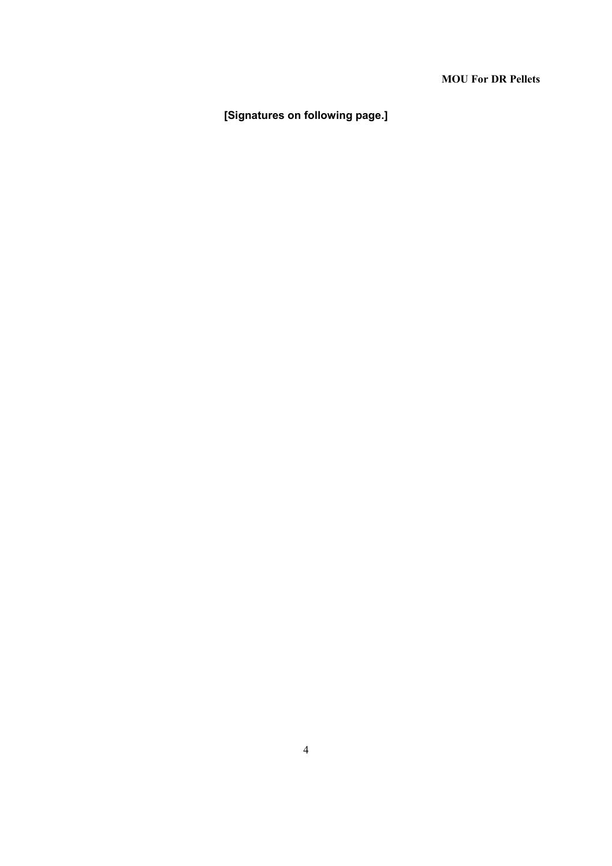## **MOU For DR Pellets**

**[Signatures on following page.]**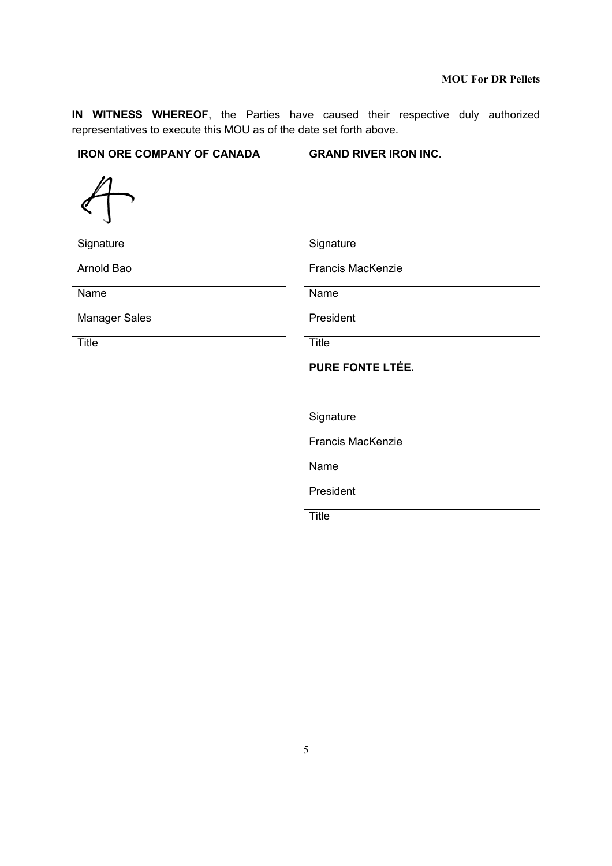**IN WITNESS WHEREOF**, the Parties have caused their respective duly authorized representatives to execute this MOU as of the date set forth above.

## **IRON ORE COMPANY OF CANADA GRAND RIVER IRON INC.**

 $\!\!\!/$ 

| Signature            | Signature                |
|----------------------|--------------------------|
| Arnold Bao           | <b>Francis MacKenzie</b> |
| Name                 | Name                     |
| <b>Manager Sales</b> | President                |
| <b>Title</b>         | <b>Title</b>             |
|                      | <b>PURE FONTE LTÉE.</b>  |
|                      |                          |
|                      |                          |
|                      | Signature                |
|                      | <b>Francis MacKenzie</b> |
|                      | Name                     |
|                      |                          |

**Title The Community of the Community of Title**